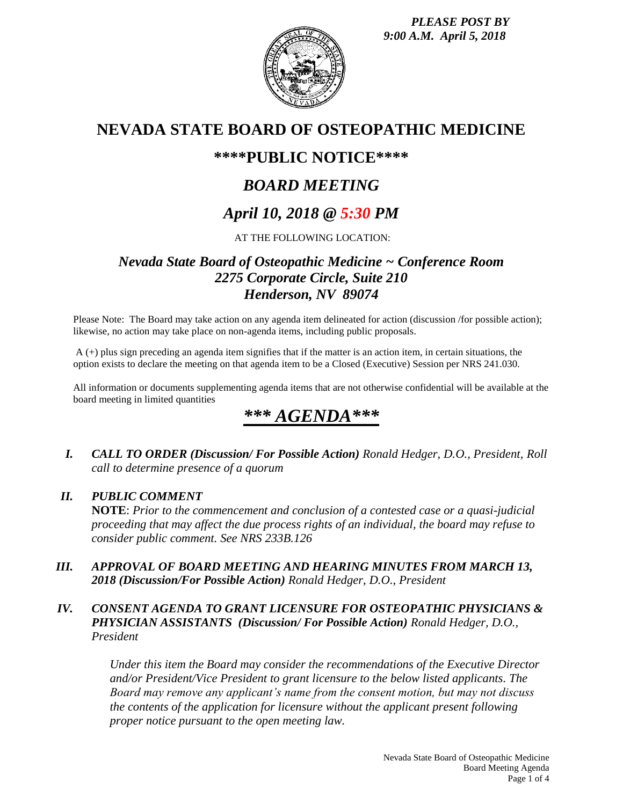*PLEASE POST BY 9:00 A.M. April 5, 2018*



## **NEVADA STATE BOARD OF OSTEOPATHIC MEDICINE**

## **\*\*\*\*PUBLIC NOTICE\*\*\*\***

# *BOARD MEETING*

# *April 10, 2018 @ 5:30 PM*

### AT THE FOLLOWING LOCATION:

## *Nevada State Board of Osteopathic Medicine ~ Conference Room 2275 Corporate Circle, Suite 210 Henderson, NV 89074*

Please Note: The Board may take action on any agenda item delineated for action (discussion /for possible action); likewise, no action may take place on non-agenda items, including public proposals.

A (+) plus sign preceding an agenda item signifies that if the matter is an action item, in certain situations, the option exists to declare the meeting on that agenda item to be a Closed (Executive) Session per NRS 241.030.

All information or documents supplementing agenda items that are not otherwise confidential will be available at the board meeting in limited quantities

# *\*\*\* AGENDA\*\*\**

*I. CALL TO ORDER (Discussion/ For Possible Action) Ronald Hedger, D.O., President, Roll call to determine presence of a quorum*

### *II. PUBLIC COMMENT*

**NOTE**: *Prior to the commencement and conclusion of a contested case or a quasi-judicial proceeding that may affect the due process rights of an individual, the board may refuse to consider public comment. See NRS 233B.126*

*III. APPROVAL OF BOARD MEETING AND HEARING MINUTES FROM MARCH 13, 2018 (Discussion/For Possible Action) Ronald Hedger, D.O., President*

### *IV. CONSENT AGENDA TO GRANT LICENSURE FOR OSTEOPATHIC PHYSICIANS & PHYSICIAN ASSISTANTS (Discussion/ For Possible Action) Ronald Hedger, D.O., President*

*Under this item the Board may consider the recommendations of the Executive Director and/or President/Vice President to grant licensure to the below listed applicants. The Board may remove any applicant's name from the consent motion, but may not discuss the contents of the application for licensure without the applicant present following proper notice pursuant to the open meeting law.*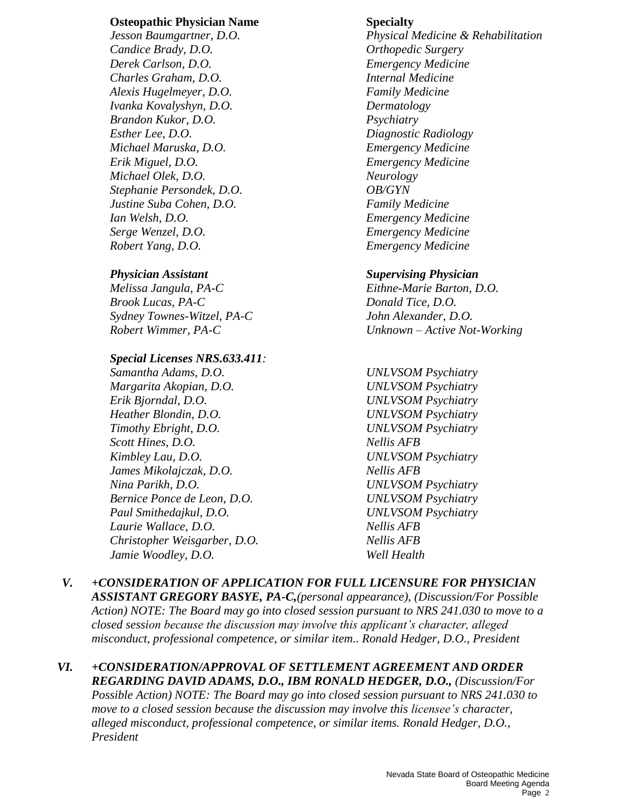### **Osteopathic Physician Name Specialty**

*Candice Brady, D.O. Orthopedic Surgery Derek Carlson, D.O. Emergency Medicine Charles Graham, D.O. Internal Medicine Alexis Hugelmeyer, D.O. Family Medicine Ivanka Kovalyshyn, D.O. Dermatology Brandon Kukor, D.O. Psychiatry Esther Lee, D.O. Diagnostic Radiology Michael Maruska, D.O. Emergency Medicine Erik Miguel, D.O. Emergency Medicine Michael Olek, D.O. Neurology Stephanie Persondek, D.O. OB/GYN Justine Suba Cohen, D.O. Family Medicine Ian Welsh, D.O. Emergency Medicine Serge Wenzel, D.O. Emergency Medicine Robert Yang, D.O. Emergency Medicine*

*Melissa Jangula, PA-C Eithne-Marie Barton, D.O. Brook Lucas, PA-C Donald Tice, D.O. Sydney Townes-Witzel, PA-C John Alexander, D.O.*

### *Special Licenses NRS.633.411:*

*Samantha Adams, D.O. UNLVSOM Psychiatry Margarita Akopian, D.O. UNLVSOM Psychiatry Erik Bjorndal, D.O. UNLVSOM Psychiatry Heather Blondin, D.O. UNLVSOM Psychiatry Timothy Ebright, D.O. UNLVSOM Psychiatry Scott Hines, D.O. Nellis AFB Kimbley Lau, D.O. UNLVSOM Psychiatry James Mikolajczak, D.O. Nellis AFB Nina Parikh, D.O. UNLVSOM Psychiatry Bernice Ponce de Leon, D.O. UNLVSOM Psychiatry Paul Smithedajkul, D.O. UNLVSOM Psychiatry Laurie Wallace, D.O. Nellis AFB Christopher Weisgarber, D.O. Nellis AFB Jamie Woodley, D.O. Well Health*

*Jesson Baumgartner, D.O. Physical Medicine & Rehabilitation*

### *Physician Assistant Supervising Physician*

*Robert Wimmer, PA-C Unknown – Active Not-Working*

- 
- *V. +CONSIDERATION OF APPLICATION FOR FULL LICENSURE FOR PHYSICIAN ASSISTANT GREGORY BASYE, PA-C,(personal appearance), (Discussion/For Possible Action) NOTE: The Board may go into closed session pursuant to NRS 241.030 to move to a closed session because the discussion may involve this applicant's character, alleged misconduct, professional competence, or similar item.. Ronald Hedger, D.O., President*
- *VI. +CONSIDERATION/APPROVAL OF SETTLEMENT AGREEMENT AND ORDER REGARDING DAVID ADAMS, D.O., IBM RONALD HEDGER, D.O., (Discussion/For Possible Action) NOTE: The Board may go into closed session pursuant to NRS 241.030 to move to a closed session because the discussion may involve this licensee's character, alleged misconduct, professional competence, or similar items. Ronald Hedger, D.O., President*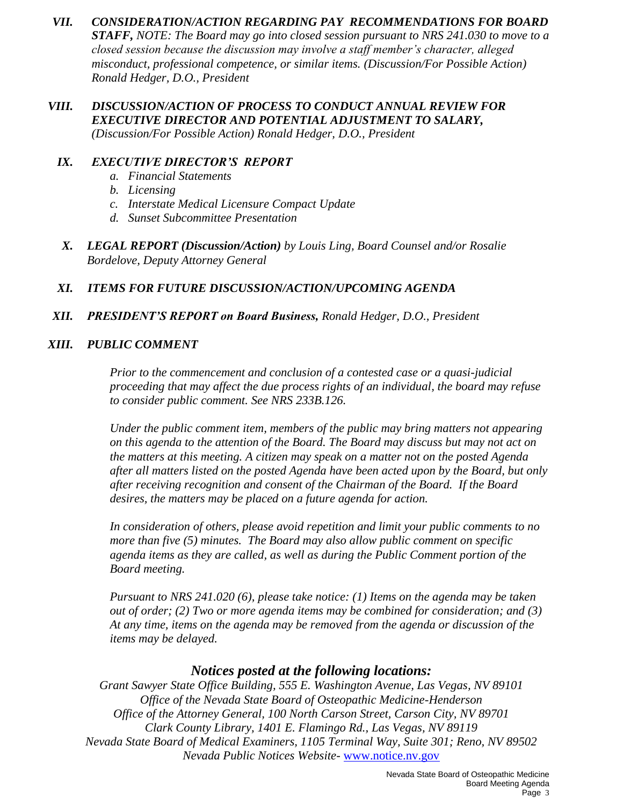- *VII. CONSIDERATION/ACTION REGARDING PAY RECOMMENDATIONS FOR BOARD STAFF, NOTE: The Board may go into closed session pursuant to NRS 241.030 to move to a closed session because the discussion may involve a staff member's character, alleged misconduct, professional competence, or similar items. (Discussion/For Possible Action) Ronald Hedger, D.O., President*
- *VIII. DISCUSSION/ACTION OF PROCESS TO CONDUCT ANNUAL REVIEW FOR EXECUTIVE DIRECTOR AND POTENTIAL ADJUSTMENT TO SALARY, (Discussion/For Possible Action) Ronald Hedger, D.O., President*

### *IX. EXECUTIVE DIRECTOR'S REPORT*

- *a. Financial Statements*
- *b. Licensing*
- *c. Interstate Medical Licensure Compact Update*
- *d. Sunset Subcommittee Presentation*
- *X. LEGAL REPORT (Discussion/Action) by Louis Ling, Board Counsel and/or Rosalie Bordelove, Deputy Attorney General*

### *XI. ITEMS FOR FUTURE DISCUSSION/ACTION/UPCOMING AGENDA*

### *XII. PRESIDENT'S REPORT on Board Business, Ronald Hedger, D.O., President*

### *XIII. PUBLIC COMMENT*

*Prior to the commencement and conclusion of a contested case or a quasi-judicial proceeding that may affect the due process rights of an individual, the board may refuse to consider public comment. See NRS 233B.126.*

*Under the public comment item, members of the public may bring matters not appearing on this agenda to the attention of the Board. The Board may discuss but may not act on the matters at this meeting. A citizen may speak on a matter not on the posted Agenda after all matters listed on the posted Agenda have been acted upon by the Board, but only after receiving recognition and consent of the Chairman of the Board. If the Board desires, the matters may be placed on a future agenda for action.*

*In consideration of others, please avoid repetition and limit your public comments to no more than five (5) minutes. The Board may also allow public comment on specific agenda items as they are called, as well as during the Public Comment portion of the Board meeting.* 

*Pursuant to NRS 241.020 (6), please take notice: (1) Items on the agenda may be taken out of order; (2) Two or more agenda items may be combined for consideration; and (3) At any time, items on the agenda may be removed from the agenda or discussion of the items may be delayed.*

### *Notices posted at the following locations:*

*Grant Sawyer State Office Building, 555 E. Washington Avenue, Las Vegas, NV 89101 Office of the Nevada State Board of Osteopathic Medicine-Henderson Office of the Attorney General, 100 North Carson Street, Carson City, NV 89701 Clark County Library, 1401 E. Flamingo Rd., Las Vegas, NV 89119 Nevada State Board of Medical Examiners, 1105 Terminal Way, Suite 301; Reno, NV 89502 Nevada Public Notices Website-* [www.notice.nv.gov](http://www.notice.nv.gov/)